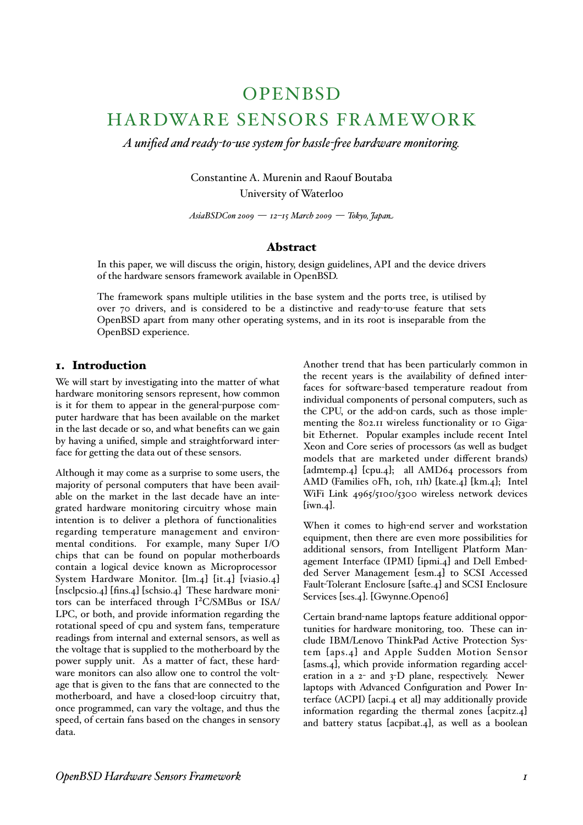# **OPENBSD** HARDWARE SENSORS FRAMEWORK

*A unified and ready-to-use system for hassle-"ee hardware monitoring.*

Constantine A. Murenin and Raouf Boutaba University of Waterloo

*AsiaBSDCon 2009 — 12–15 March 2009 — Tokyo, Japan*

#### Abstract

In this paper, we will discuss the origin, history, design guidelines, API and the device drivers of the hardware sensors framework available in OpenBSD.

The framework spans multiple utilities in the base system and the ports tree, is utilised by over 70 drivers, and is considered to be a distinctive and ready-to-use feature that sets OpenBSD apart from many other operating systems, and in its root is inseparable from the OpenBSD experience.

### 1. Introduction

We will start by investigating into the matter of what hardware monitoring sensors represent, how common is it for them to appear in the general-purpose computer hardware that has been available on the market in the last decade or so, and what benefits can we gain by having a unified, simple and straightforward interface for getting the data out of these sensors.

Although it may come as a surprise to some users, the majority of personal computers that have been available on the market in the last decade have an integrated hardware monitoring circuitry whose main intention is to deliver a plethora of functionalities regarding temperature management and environmental conditions. For example, many Super I/O chips that can be found on popular motherboards contain a logical device known as Microprocessor System Hardware Monitor. [lm.4] [it.4] [viasio.4] [nsclpcsio.4] [fins.4] [schsio.4] These hardware monitors can be interfaced through I²C/SMBus or ISA/ LPC, or both, and provide information regarding the rotational speed of cpu and system fans, temperature readings from internal and external sensors, as well as the voltage that is supplied to the motherboard by the power supply unit. As a matter of fact, these hardware monitors can also allow one to control the voltage that is given to the fans that are connected to the motherboard, and have a closed-loop circuitry that, once programmed, can vary the voltage, and thus the speed, of certain fans based on the changes in sensory data.

Another trend that has been particularly common in the recent years is the availability of defined interfaces for software-based temperature readout from individual components of personal computers, such as the CPU, or the add-on cards, such as those implementing the 802.11 wireless functionality or 10 Gigabit Ethernet. Popular examples include recent Intel Xeon and Core series of processors (as well as budget models that are marketed under different brands) [admtemp.4] [cpu.4]; all AMD64 processors from AMD (Families 0Fh, 10h, 11h) [kate.4] [km.4]; Intel WiFi Link 4965/5100/5300 wireless network devices  $[ium.4]$ .

When it comes to high-end server and workstation equipment, then there are even more possibilities for additional sensors, from Intelligent Platform Management Interface (IPMI) [ipmi.4] and Dell Embedded Server Management [esm.4] to SCSI Accessed Fault-Tolerant Enclosure [safte.4] and SCSI Enclosure Services [ses.4]. [Gwynne.Open06]

Certain brand-name laptops feature additional opportunities for hardware monitoring, too. These can include IBM/Lenovo ThinkPad Active Protection System [aps.4] and Apple Sudden Motion Sensor [asms.4], which provide information regarding acceleration in a 2- and 3-D plane, respectively. Newer laptops with Advanced Configuration and Power Interface (ACPI) [acpi.4 et al] may additionally provide information regarding the thermal zones [acpitz.4] and battery status [acpibat.4], as well as a boolean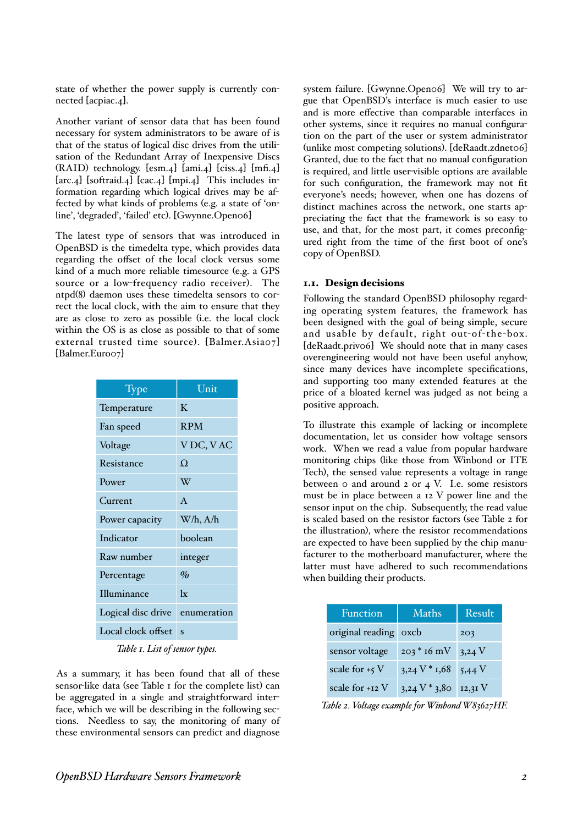state of whether the power supply is currently connected [acpiac.4].

Another variant of sensor data that has been found necessary for system administrators to be aware of is that of the status of logical disc drives from the utilisation of the Redundant Array of Inexpensive Discs  $(RAID)$  technology.  $[esm.4]$   $[ami.4]$   $[ciss.4]$   $[mfi.4]$  $\left[\text{arc.4}\right]$   $\left[\text{softmax.4}\right]$   $\left[\text{cac.4}\right]$   $\left[\text{mpi.4}\right]$  This includes information regarding which logical drives may be affected by what kinds of problems (e.g. a state of 'online', 'degraded', 'failed' etc). [Gwynne.Open06]

The latest type of sensors that was introduced in OpenBSD is the timedelta type, which provides data regarding the offset of the local clock versus some kind of a much more reliable timesource (e.g. a GPS source or a low-frequency radio receiver). The ntpd(8) daemon uses these timedelta sensors to correct the local clock, with the aim to ensure that they are as close to zero as possible (i.e. the local clock within the OS is as close as possible to that of some external trusted time source). [Balmer.Asia07] [Balmer.Euro07]

| Type               | Unit                        |
|--------------------|-----------------------------|
| Temperature        | K                           |
| Fan speed          | <b>RPM</b>                  |
| Voltage            | V DC, VAC                   |
| Resistance         | Ω                           |
| Power              | W                           |
| Current            | $\mathbf{A}$                |
| Power capacity     | $W/h$ , A/h                 |
| Indicator          | boolean                     |
| Raw number         | integer                     |
| Percentage         | $\mathcal{O}_{\mathcal{D}}$ |
| Illuminance        | $\mathbf{I}$                |
| Logical disc drive | enumeration                 |
| Local clock offset | S                           |

*Table 1. List of sensor types.*

As a summary, it has been found that all of these sensor-like data (see Table 1 for the complete list) can be aggregated in a single and straightforward interface, which we will be describing in the following sections. Needless to say, the monitoring of many of these environmental sensors can predict and diagnose

system failure. [Gwynne.Open06] We will try to argue that OpenBSD's interface is much easier to use and is more effective than comparable interfaces in other systems, since it requires no manual configuration on the part of the user or system administrator (unlike most competing solutions). [deRaadt.zdneto6] Granted, due to the fact that no manual configuration is required, and little user-visible options are available for such configuration, the framework may not fit everyone's needs; however, when one has dozens of distinct machines across the network, one starts appreciating the fact that the framework is so easy to use, and that, for the most part, it comes preconfigured right from the time of the first boot of one's copy of OpenBSD.

### 1.1. Design decisions

Following the standard OpenBSD philosophy regarding operating system features, the framework has been designed with the goal of being simple, secure and usable by default, right out-of-the-box. [deRaadt.priv06] We should note that in many cases overengineering would not have been useful anyhow, since many devices have incomplete specifications, and supporting too many extended features at the price of a bloated kernel was judged as not being a positive approach.

To illustrate this example of lacking or incomplete documentation, let us consider how voltage sensors work. When we read a value from popular hardware monitoring chips (like those from Winbond or ITE Tech), the sensed value represents a voltage in range between 0 and around 2 or 4 V. I.e. some resistors must be in place between a 12 V power line and the sensor input on the chip. Subsequently, the read value is scaled based on the resistor factors (see Table 2 for the illustration), where the resistor recommendations are expected to have been supplied by the chip manufacturer to the motherboard manufacturer, where the latter must have adhered to such recommendations when building their products.

| Function              | <b>Maths</b>                | Result   |
|-----------------------|-----------------------------|----------|
| original reading oxcb |                             | 203      |
| sensor voltage        | $203 * 16$ mV               | $3,24$ V |
| scale for $+5V$       | $3,24$ V $*$ 1,68           | $5,44$ V |
| scale for +12 V       | $3,24$ V $*$ 3,80 $12,31$ V |          |

*Table 2. Voltage example for Winbond W83627HF.*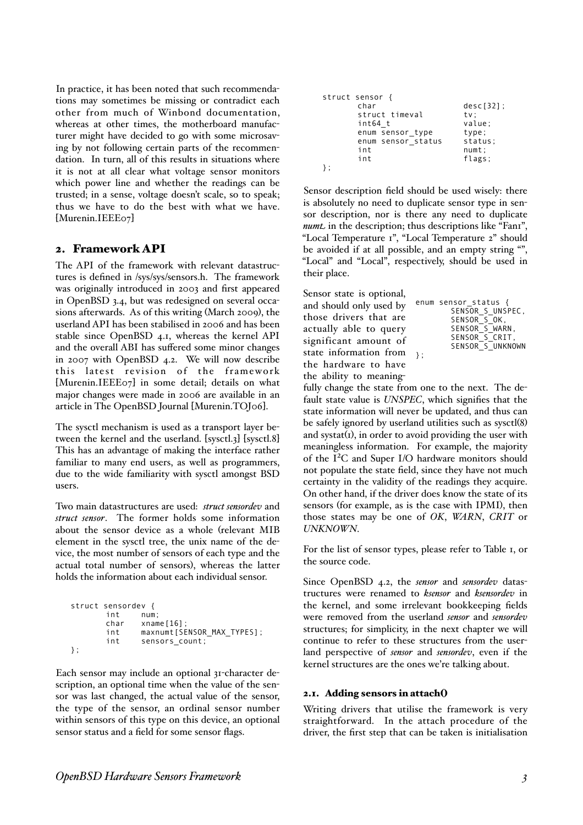In practice, it has been noted that such recommendations may sometimes be missing or contradict each other from much of Winbond documentation, whereas at other times, the motherboard manufacturer might have decided to go with some microsaving by not following certain parts of the recommendation. In turn, all of this results in situations where it is not at all clear what voltage sensor monitors which power line and whether the readings can be trusted; in a sense, voltage doesn't scale, so to speak; thus we have to do the best with what we have. [Murenin.IEEE07]

### 2. Framework API

The API of the framework with relevant datastructures is defined in /sys/sys/sensors.h. The framework was originally introduced in 2003 and first appeared in OpenBSD 3.4, but was redesigned on several occasions afterwards. As of this writing (March 2009), the userland API has been stabilised in 2006 and has been stable since OpenBSD 4.1, whereas the kernel API and the overall ABI has suffered some minor changes in 2007 with OpenBSD 4.2. We will now describe this latest revision of the framework [Murenin.IEEE07] in some detail; details on what major changes were made in 2006 are available in an article in The OpenBSD Journal [Murenin.TOJ06].

The sysctl mechanism is used as a transport layer between the kernel and the userland. [sysctl.3] [sysctl.8] This has an advantage of making the interface rather familiar to many end users, as well as programmers, due to the wide familiarity with sysctl amongst BSD users.

Two main datastructures are used: *struct sensordev* and *struct sensor*. The former holds some information about the sensor device as a whole (relevant MIB element in the sysctl tree, the unix name of the device, the most number of sensors of each type and the actual total number of sensors), whereas the latter holds the information about each individual sensor.

```
struct sensordev {
           int num;
          char xname[16];<br>int maxnumt[SE
          int maxnumt[SENSOR_MAX_TYPES];<br>int sensors.count;
                    sensors count;
};
```
Each sensor may include an optional 31-character description, an optional time when the value of the sensor was last changed, the actual value of the sensor, the type of the sensor, an ordinal sensor number within sensors of this type on this device, an optional sensor status and a field for some sensor flags.

| struct sensor {    |              |
|--------------------|--------------|
| char               | $desc[32]$ ; |
| struct timeval     | tv;          |
| int64 t            | value:       |
| enum sensor type   | type;        |
| enum sensor status | status:      |
| int                | $numt$ ;     |
| int                | flags:       |
|                    |              |

Sensor description field should be used wisely: there is absolutely no need to duplicate sensor type in sensor description, nor is there any need to duplicate *numt* in the description; thus descriptions like "Fan1", "Local Temperature 1", "Local Temperature 2" should be avoided if at all possible, and an empty string "", "Local" and "Local", respectively, should be used in their place.

Sensor state is optional, and should only used by those drivers that are actually able to query significant amount of state information from the hardware to have the ability to meaningenu };

| enum sensor status { |
|----------------------|
| SENSOR S UNSPEC.     |
| SENSOR 5 OK,         |
| SENSOR S WARN,       |
| SENSOR S CRIT.       |
| SENSOR S UNKNOWN     |
|                      |

fully change the state from one to the next. The default state value is *UNSPEC*, which signifies that the state information will never be updated, and thus can be safely ignored by userland utilities such as sysctl(8) and systat $(i)$ , in order to avoid providing the user with meaningless information. For example, the majority of the I²C and Super I/O hardware monitors should not populate the state field, since they have not much certainty in the validity of the readings they acquire. On other hand, if the driver does know the state of its sensors (for example, as is the case with IPMI), then those states may be one of *OK*, *WARN*, *CRIT* or *UNKNOWN*.

For the list of sensor types, please refer to Table 1, or the source code.

Since OpenBSD 4.2, the *sensor* and *sensordev* datastructures were renamed to *ksensor* and *ksensordev* in the kernel, and some irrelevant bookkeeping fields were removed from the userland *sensor* and *sensordev* structures; for simplicity, in the next chapter we will continue to refer to these structures from the userland perspective of *sensor* and *sensordev*, even if the kernel structures are the ones we're talking about.

#### 2.1. Adding sensors in attach()

Writing drivers that utilise the framework is very straightforward. In the attach procedure of the driver, the first step that can be taken is initialisation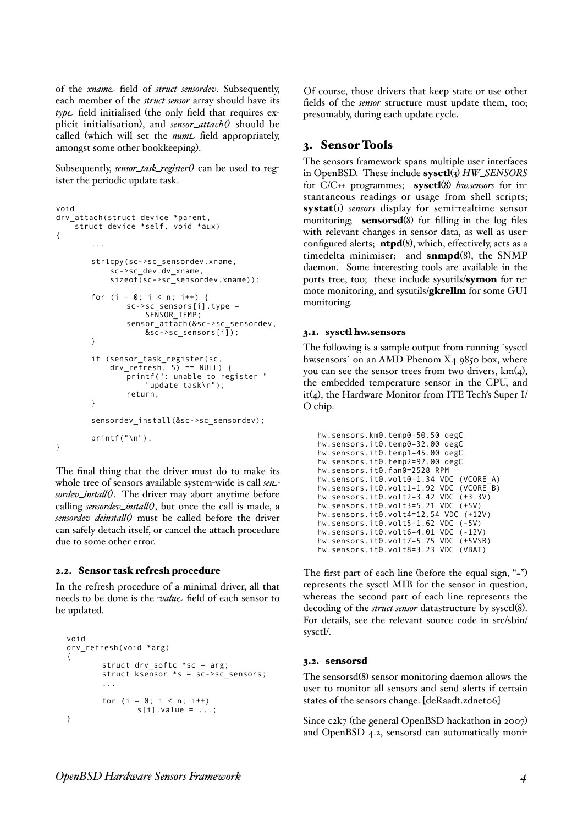of the *xname* field of *struct sensordev*. Subsequently, each member of the *struct sensor* array should have its *type* field initialised (the only field that requires explicit initialisation), and *sensor\_attach()* should be called (which will set the *numt* field appropriately, amongst some other bookkeeping).

Subsequently, *sensor\_task\_register()* can be used to register the periodic update task.

```
void
drv_attach(struct device *parent, 
     struct device *self, void *aux)
{
         ...
         strlcpy(sc->sc_sensordev.xname, 
            sc->sc_dev.dv_xname,
             sizeof(sc->sc_sensordev.xname));
        for (i = 0; i < n; i++) sc->sc_sensors[i].type = 
                     SENSOR_TEMP;
                sensor attach(&sc->sc_sensordev,
                     &s\overline{c}->sc_sensors[i]);
         }
         if (sensor_task_register(sc, 
             \text{div\_refresh}, 5) == NULL) {
                 printf(": unable to register "
                      "update task\n");
                 return;
         }
         sensordev_install(&sc->sc_sensordev);
         printf("\n");
}
```
The final thing that the driver must do to make its whole tree of sensors available system-wide is call *sensordev\_insta+()*. The driver may abort anytime before calling *sensordev\_insta+()*, but once the call is made, a *sensordev\_deinsta+()* must be called before the driver can safely detach itself, or cancel the attach procedure due to some other error.

#### 2.2. Sensor task refresh procedure

In the refresh procedure of a minimal driver, all that needs to be done is the *value* field of each sensor to be updated.

```
void
drv_refresh(void *arg)
{
        struct drv_softc *sc = arg;
        struct ksensor *s = sc->sc_sensors;
         ...
       for (i = 0; i < n; i++)s[i].value = ...;
}
```
Of course, those drivers that keep state or use other fields of the *sensor* structure must update them, too; presumably, during each update cycle.

# 3. Sensor Tools

The sensors framework spans multiple user interfaces in OpenBSD. These include sysctl(3) *HW\_SENSORS* for C/C++ programmes; sysctl(8) *hw.sensors* for instantaneous readings or usage from shell scripts; systat(1) *sensors* display for semi-realtime sensor monitoring; **sensorsd** $(8)$  for filling in the log files with relevant changes in sensor data, as well as userconfigured alerts;  $ntpd(8)$ , which, effectively, acts as a timedelta minimiser; and  $s nmpd(8)$ , the SNMP daemon. Some interesting tools are available in the ports tree, too; these include sysutils/symon for remote monitoring, and sysutils/**gkrellm** for some GUI monitoring.

### 3.1. sysctl hw.sensors

The following is a sample output from running `sysctl hw.sensors` on an AMD Phenom  $X_4$  9850 box, where you can see the sensor trees from two drivers,  $km(\lambda)$ , the embedded temperature sensor in the CPU, and it(4), the Hardware Monitor from ITE Tech's Super I/ O chip.

```
hw.sensors.km0.temp0=50.50 degC 
hw.sensors.it0.temp0=32.00 degC 
hw.sensors.it0.temp1=45.00 degC 
hw.sensors.it0.temp2=92.00 degC 
hw.sensors.it0.fan0=2528 RPM 
hw.sensors.it0.volt0=1.34 VDC (VCORE_A) 
hw.sensors.it0.volt1=1.92 VDC (VCORE\overline{-B})<br>hw.sensors.it0.volt2=3.42 VDC (+3.3V)
hw.sensors.it0.volt2=3.42 VDC
hw.sensors.it0.volt3=5.21 VDC (+5V) 
hw.sensors.it0.volt4=12.54 VDC (+12V) 
hw.sensors.it0.volt5=1.62 VDC (-5V) 
hw.sensors.it0.volt6=4.01 VDC (-12V) 
hw.sensors.it0.volt7=5.75 VDC (+5VSB) 
hw.sensors.it0.volt8=3.23 VDC (VBAT)
```
The first part of each line (before the equal sign, "=") represents the sysctl MIB for the sensor in question, whereas the second part of each line represents the decoding of the *struct sensor* datastructure by sysctl(8). For details, see the relevant source code in src/sbin/ sysctl/.

### 3.2. sensorsd

The sensorsd(8) sensor monitoring daemon allows the user to monitor all sensors and send alerts if certain states of the sensors change. [deRaadt.zdnet06]

Since c2k7 (the general OpenBSD hackathon in 2007) and OpenBSD 4.2, sensorsd can automatically moni-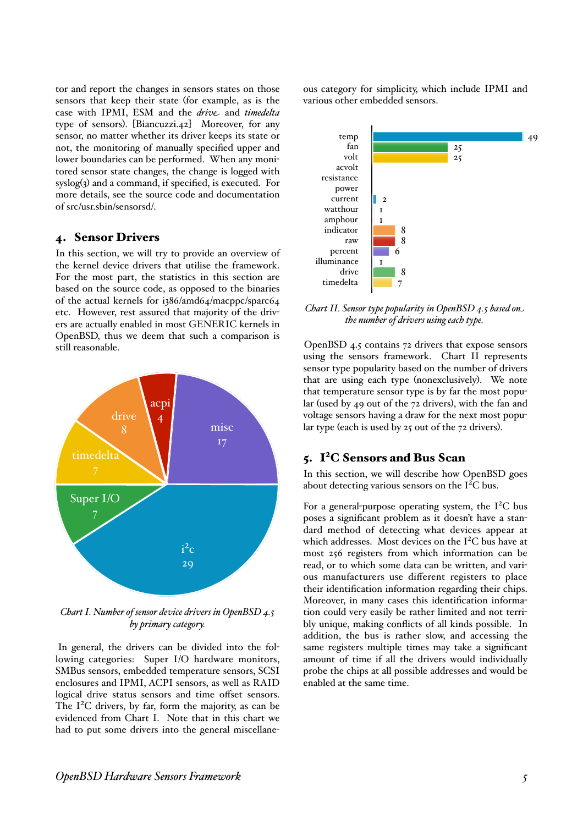tor and report the changes in sensors states on those sensors that keep their state (for example, as is the case with IPMI, ESM and the *drive* and *timedelta* type of sensors). [Biancuzzi.42] Moreover, for any sensor, no matter whether its driver keeps its state or not, the monitoring of manually specified upper and lower boundaries can be performed. When any monitored sensor state changes, the change is logged with  $syslog(3)$  and a command, if specified, is executed. For more details, see the source code and documentation of src/usr.sbin/sensorsd/.

### 4. Sensor Drivers

In this section, we will try to provide an overview of the kernel device drivers that utilise the framework. For the most part, the statistics in this section are based on the source code, as opposed to the binaries of the actual kernels for i386/amd64/macppc/sparc64 etc. However, rest assured that majority of the drivers are actually enabled in most GENERIC kernels in OpenBSD, thus we deem that such a comparison is still reasonable.



*Chart I. Number of sensor device drivers in OpenBSD 4.5 by primary category.*

In general, the drivers can be divided into the following categories: Super I/O hardware monitors, SMBus sensors, embedded temperature sensors, SCSI enclosures and IPMI, ACPI sensors, as well as RAID logical drive status sensors and time offset sensors. The  $I<sup>2</sup>C$  drivers, by far, form the majority, as can be evidenced from Chart I. Note that in this chart we had to put some drivers into the general miscellaneous category for simplicity, which include IPMI and various other embedded sensors.



*Chart II. Sensor type popularity in OpenBSD 4.5 based on the number of drivers using each type.*

OpenBSD 4.5 contains 72 drivers that expose sensors using the sensors framework. Chart II represents sensor type popularity based on the number of drivers that are using each type (nonexclusively). We note that temperature sensor type is by far the most popular (used by 49 out of the 72 drivers), with the fan and voltage sensors having a draw for the next most popular type (each is used by 25 out of the 72 drivers).

### 5. I²C Sensors and Bus Scan

In this section, we will describe how OpenBSD goes about detecting various sensors on the  $I<sup>2</sup>C$  bus.

For a general-purpose operating system, the  $I<sup>2</sup>C$  bus poses a significant problem as it doesn't have a standard method of detecting what devices appear at which addresses. Most devices on the  $I<sup>2</sup>C$  bus have at most 256 registers from which information can be read, or to which some data can be written, and various manufacturers use different registers to place their identification information regarding their chips. Moreover, in many cases this identification information could very easily be rather limited and not terribly unique, making conflicts of all kinds possible. In addition, the bus is rather slow, and accessing the same registers multiple times may take a significant amount of time if all the drivers would individually probe the chips at all possible addresses and would be enabled at the same time.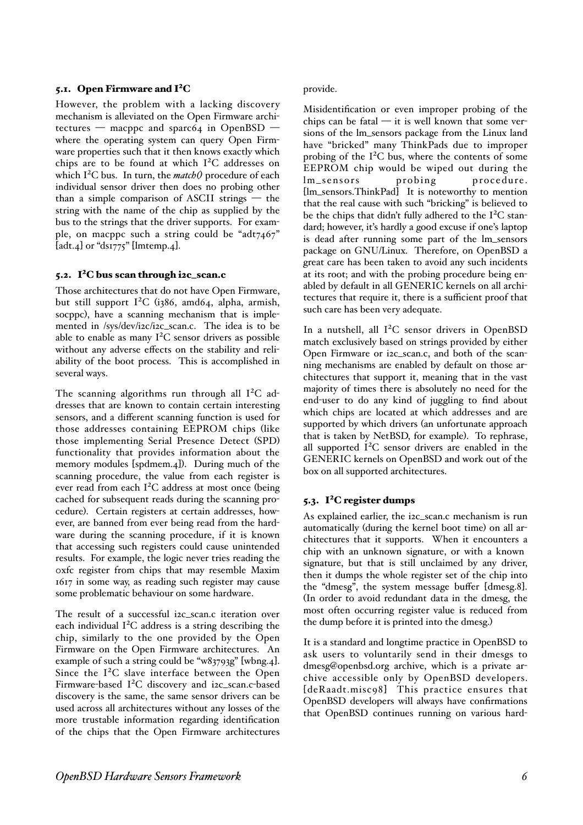### 5.1. Open Firmware and I²C

However, the problem with a lacking discovery mechanism is alleviated on the Open Firmware architectures — macppc and sparc64 in OpenBSD  $\cdot$ where the operating system can query Open Firmware properties such that it then knows exactly which chips are to be found at which I²C addresses on which I²C bus. In turn, the *match()* procedure of each individual sensor driver then does no probing other than a simple comparison of ASCII strings — the string with the name of the chip as supplied by the bus to the strings that the driver supports. For example, on macppc such a string could be "adt7467" [adt.4] or "ds1775" [lmtemp.4].

### 5.2. I²C bus scan through i2c\_scan.c

Those architectures that do not have Open Firmware, but still support I²C (i386, amd64, alpha, armish, socppc), have a scanning mechanism that is implemented in /sys/dev/i2c/i2c\_scan.c. The idea is to be able to enable as many  $I^2C$  sensor drivers as possible without any adverse effects on the stability and reliability of the boot process. This is accomplished in several ways.

The scanning algorithms run through all  $I^2C$  addresses that are known to contain certain interesting sensors, and a different scanning function is used for those addresses containing EEPROM chips (like those implementing Serial Presence Detect (SPD) functionality that provides information about the memory modules [spdmem.4]). During much of the scanning procedure, the value from each register is ever read from each I²C address at most once (being cached for subsequent reads during the scanning procedure). Certain registers at certain addresses, however, are banned from ever being read from the hardware during the scanning procedure, if it is known that accessing such registers could cause unintended results. For example, the logic never tries reading the 0xfc register from chips that may resemble Maxim 1617 in some way, as reading such register may cause some problematic behaviour on some hardware.

The result of a successful i2c\_scan.c iteration over each individual I²C address is a string describing the chip, similarly to the one provided by the Open Firmware on the Open Firmware architectures. An example of such a string could be "w83793g" [wbng.4]. Since the I²C slave interface between the Open Firmware-based I²C discovery and i2c\_scan.c-based discovery is the same, the same sensor drivers can be used across all architectures without any losses of the more trustable information regarding identification of the chips that the Open Firmware architectures

provide.

Misidentification or even improper probing of the chips can be fatal  $-$  it is well known that some versions of the lm\_sensors package from the Linux land have "bricked" many ThinkPads due to improper probing of the I²C bus, where the contents of some EEPROM chip would be wiped out during the lm\_sensors probing procedure. [lm\_sensors.ThinkPad] It is noteworthy to mention that the real cause with such "bricking" is believed to be the chips that didn't fully adhered to the I²C standard; however, it's hardly a good excuse if one's laptop is dead after running some part of the lm\_sensors package on GNU/Linux. Therefore, on OpenBSD a great care has been taken to avoid any such incidents at its root; and with the probing procedure being enabled by default in all GENERIC kernels on all architectures that require it, there is a sufficient proof that such care has been very adequate.

In a nutshell, all I²C sensor drivers in OpenBSD match exclusively based on strings provided by either Open Firmware or i2c\_scan.c, and both of the scanning mechanisms are enabled by default on those architectures that support it, meaning that in the vast majority of times there is absolutely no need for the end-user to do any kind of juggling to find about which chips are located at which addresses and are supported by which drivers (an unfortunate approach that is taken by NetBSD, for example). To rephrase, all supported  $I^2C$  sensor drivers are enabled in the GENERIC kernels on OpenBSD and work out of the box on all supported architectures.

### 5.3. I²C register dumps

As explained earlier, the i2c\_scan.c mechanism is run automatically (during the kernel boot time) on all architectures that it supports. When it encounters a chip with an unknown signature, or with a known signature, but that is still unclaimed by any driver, then it dumps the whole register set of the chip into the "dmesg", the system message buffer [dmesg.8]. (In order to avoid redundant data in the dmesg, the most often occurring register value is reduced from the dump before it is printed into the dmesg.)

It is a standard and longtime practice in OpenBSD to ask users to voluntarily send in their dmesgs to dmesg@openbsd.org archive, which is a private archive accessible only by OpenBSD developers. [deRaadt.misc98] This practice ensures that OpenBSD developers will always have confirmations that OpenBSD continues running on various hard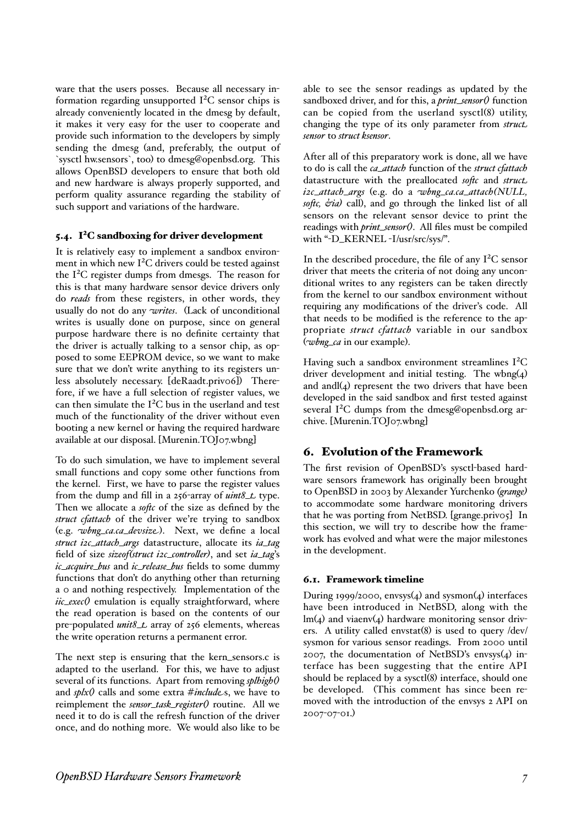ware that the users posses. Because all necessary information regarding unsupported I²C sensor chips is already conveniently located in the dmesg by default, it makes it very easy for the user to cooperate and provide such information to the developers by simply sending the dmesg (and, preferably, the output of `sysctl hw.sensors`, too) to dmesg@openbsd.org. This allows OpenBSD developers to ensure that both old and new hardware is always properly supported, and perform quality assurance regarding the stability of such support and variations of the hardware.

### 5.4. I²C sandboxing for driver development

It is relatively easy to implement a sandbox environment in which new I²C drivers could be tested against the I²C register dumps from dmesgs. The reason for this is that many hardware sensor device drivers only do *reads* from these registers, in other words, they usually do not do any *writes*. (Lack of unconditional writes is usually done on purpose, since on general purpose hardware there is no definite certainty that the driver is actually talking to a sensor chip, as opposed to some EEPROM device, so we want to make sure that we don't write anything to its registers unless absolutely necessary. [deRaadt.privo6]) Therefore, if we have a full selection of register values, we can then simulate the I²C bus in the userland and test much of the functionality of the driver without even booting a new kernel or having the required hardware available at our disposal. [Murenin.TOJ07.wbng]

To do such simulation, we have to implement several small functions and copy some other functions from the kernel. First, we have to parse the register values from the dump and fill in a 256-array of *uint8\_t* type. Then we allocate a *softc* of the size as defined by the *struct cfattach* of the driver we're trying to sandbox (e.g. *wbng\_ca.ca\_devsize*). Next, we define a local *struct i2c\_attach\_args* datastructure, allocate its *ia\_tag* field of size *sizeof(struct i2c\_contro+er)*, and set *ia\_tag*'s *ic\_acquire\_bus* and *ic\_release\_bus* fields to some dummy functions that don't do anything other than returning a 0 and nothing respectively. Implementation of the *iic\_exec()* emulation is equally straightforward, where the read operation is based on the contents of our pre-populated *unit8\_t* array of 256 elements, whereas the write operation returns a permanent error.

The next step is ensuring that the kern\_sensors.c is adapted to the userland. For this, we have to adjust several of its functions. Apart from removing *splhigh()* and *splx()* calls and some extra *#include*s, we have to reimplement the *sensor\_task\_register()* routine. All we need it to do is call the refresh function of the driver once, and do nothing more. We would also like to be

able to see the sensor readings as updated by the sandboxed driver, and for this, a *print\_sensor()* function can be copied from the userland sysctl(8) utility, changing the type of its only parameter from *struct sensor* to *struct ksensor*.

After all of this preparatory work is done, all we have to do is call the *ca\_attach* function of the *struct cfattach* datastructure with the preallocated *softc* and *struct i2c\_attach\_args* (e.g. do a *wbng\_ca.ca\_attach(NULL,*  softc, *&ia*) call), and go through the linked list of all sensors on the relevant sensor device to print the readings with *print\_sensor()*. All files must be compiled with "-D\_KERNEL -I/usr/src/sys/".

In the described procedure, the file of any  $I^2C$  sensor driver that meets the criteria of not doing any unconditional writes to any registers can be taken directly from the kernel to our sandbox environment without requiring any modifications of the driver's code. All that needs to be modified is the reference to the appropriate *struct cfattach* variable in our sandbox (*wbng\_ca* in our example).

Having such a sandbox environment streamlines I²C driver development and initial testing. The wbng(4) and and  $I(4)$  represent the two drivers that have been developed in the said sandbox and first tested against several I²C dumps from the dmesg@openbsd.org archive. [Murenin.TOJ07.wbng]

### 6. Evolution of the Framework

The first revision of OpenBSD's sysctl-based hardware sensors framework has originally been brought to OpenBSD in 2003 by Alexander Yurchenko *(grange)* to accommodate some hardware monitoring drivers that he was porting from NetBSD. [grange.privo5] In this section, we will try to describe how the framework has evolved and what were the major milestones in the development.

#### 6.1. Framework timeline

During 1999/2000, envsys $(4)$  and sysmon $(4)$  interfaces have been introduced in NetBSD, along with the  $lm(4)$  and viaenv $(4)$  hardware monitoring sensor drivers. A utility called envstat(8) is used to query /dev/ sysmon for various sensor readings. From 2000 until 2007, the documentation of NetBSD's envsys(4) interface has been suggesting that the entire API should be replaced by a sysctl $(8)$  interface, should one be developed. (This comment has since been removed with the introduction of the envsys 2 API on 2007-07-01.)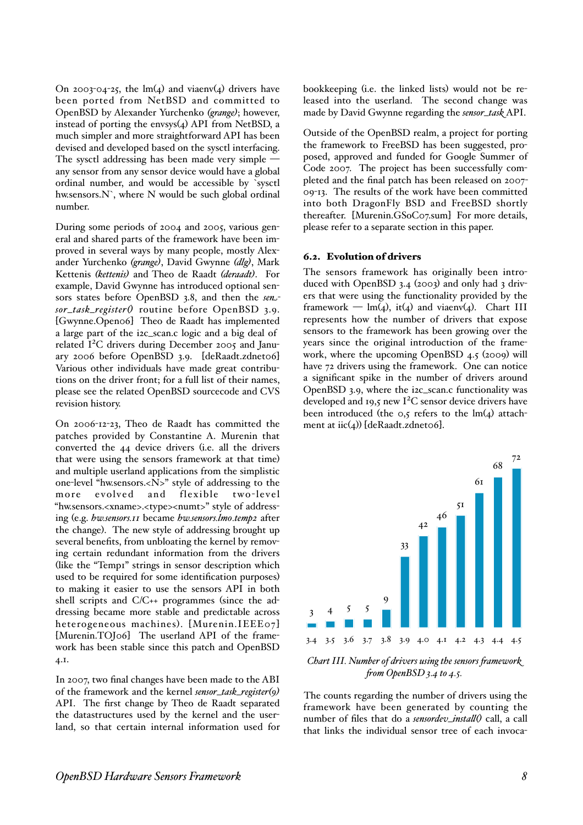On 2003-04-25, the  $Im(4)$  and viaenv $(4)$  drivers have been ported from NetBSD and committed to OpenBSD by Alexander Yurchenko *(grange)*; however, instead of porting the envsys(4) API from NetBSD, a much simpler and more straightforward API has been devised and developed based on the sysctl interfacing. The sysctl addressing has been made very simple any sensor from any sensor device would have a global ordinal number, and would be accessible by `sysctl hw.sensors. $N$ , where  $N$  would be such global ordinal number.

During some periods of 2004 and 2005, various general and shared parts of the framework have been improved in several ways by many people, mostly Alexander Yurchenko *(grange)*, David Gwynne *(dlg)*, Mark Kettenis *(kettenis)* and Theo de Raadt *(deraadt)*. For example, David Gwynne has introduced optional sensors states before OpenBSD 3.8, and then the *sensor\_task\_register()* routine before OpenBSD 3.9. [Gwynne.Open06] Theo de Raadt has implemented a large part of the i2c\_scan.c logic and a big deal of related I²C drivers during December 2005 and January 2006 before OpenBSD 3.9. [deRaadt.zdnet06] Various other individuals have made great contributions on the driver front; for a full list of their names, please see the related OpenBSD sourcecode and CVS revision history.

On 2006-12-23, Theo de Raadt has committed the patches provided by Constantine A. Murenin that converted the 44 device drivers (i.e. all the drivers that were using the sensors framework at that time) and multiple userland applications from the simplistic one-level "hw.sensors.<N>" style of addressing to the more evolved and flexible two-level "hw.sensors.<xname>.<type><numt>" style of addressing (e.g. *hw.sensors.11* became *hw.sensors.lm0.temp2* after the change). The new style of addressing brought up several benefits, from unbloating the kernel by removing certain redundant information from the drivers (like the "Temp1" strings in sensor description which used to be required for some identification purposes) to making it easier to use the sensors API in both shell scripts and C/C++ programmes (since the addressing became more stable and predictable across heterogeneous machines). [Murenin.IEEE07] [Murenin.TOJ06] The userland API of the framework has been stable since this patch and OpenBSD 4.1.

In 2007, two final changes have been made to the ABI of the framework and the kernel *sensor\_task\_register(9)* API. The first change by Theo de Raadt separated the datastructures used by the kernel and the userland, so that certain internal information used for

bookkeeping (i.e. the linked lists) would not be released into the userland. The second change was made by David Gwynne regarding the *sensor\_task* API.

Outside of the OpenBSD realm, a project for porting the framework to FreeBSD has been suggested, proposed, approved and funded for Google Summer of Code 2007. The project has been successfully completed and the final patch has been released on 2007- 09-13. The results of the work have been committed into both DragonFly BSD and FreeBSD shortly thereafter. [Murenin.GSoC07.sum] For more details, please refer to a separate section in this paper.

#### 6.2. Evolution of drivers

The sensors framework has originally been introduced with OpenBSD 3.4 (2003) and only had 3 drivers that were using the functionality provided by the framework —  $lm(4)$ , it(4) and viaenv(4). Chart III represents how the number of drivers that expose sensors to the framework has been growing over the years since the original introduction of the framework, where the upcoming OpenBSD 4.5 (2009) will have 72 drivers using the framework. One can notice a significant spike in the number of drivers around OpenBSD 3.9, where the i2c\_scan.c functionality was developed and 19,5 new I<sup>2</sup>C sensor device drivers have been introduced (the  $0.5$  refers to the  $lm(4)$  attachment at  $\text{inc}(4)$  [deRaadt.zdnet06].



*Chart III. Number of drivers using the sensors "amework "om OpenBSD 3.4 to 4.5.*

The counts regarding the number of drivers using the framework have been generated by counting the number of files that do a *sensordev\_insta+()* call, a call that links the individual sensor tree of each invoca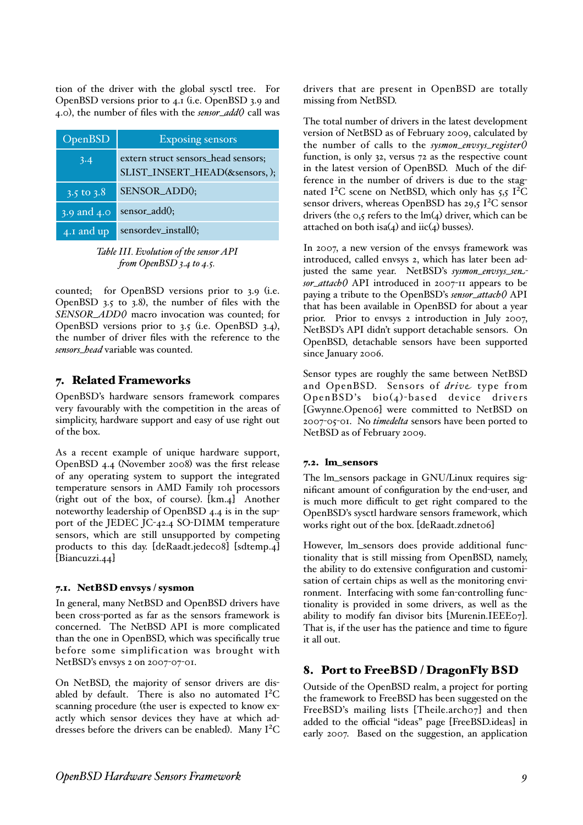tion of the driver with the global sysctl tree. For OpenBSD versions prior to 4.1 (i.e. OpenBSD 3.9 and 4.0), the number of files with the *sensor\_add()* call was

| OpenBSD                   | <b>Exposing sensors</b>                                              |
|---------------------------|----------------------------------------------------------------------|
| 3.4                       | extern struct sensors_head sensors;<br>SLIST_INSERT_HEAD(&sensors,); |
| $3.5$ to 3.8              | SENSOR_ADD();                                                        |
| $3.9$ and $4.0$           | sensor_add();                                                        |
| $\overline{4}$ . I and up | sensordev_install();                                                 |

*Table III. Evolution of the sensor API "om OpenBSD 3.4 to 4.5.*

counted; for OpenBSD versions prior to 3.9 (i.e. OpenBSD 3.5 to 3.8), the number of files with the *SENSOR\_ADD()* macro invocation was counted; for OpenBSD versions prior to 3.5 (i.e. OpenBSD 3.4), the number of driver files with the reference to the *sensors\_head* variable was counted.

### 7. Related Frameworks

OpenBSD's hardware sensors framework compares very favourably with the competition in the areas of simplicity, hardware support and easy of use right out of the box.

As a recent example of unique hardware support, OpenBSD 4.4 (November 2008) was the first release of any operating system to support the integrated temperature sensors in AMD Family 10h processors (right out of the box, of course). [km.4] Another noteworthy leadership of OpenBSD 4.4 is in the support of the JEDEC JC-42.4 SO-DIMM temperature sensors, which are still unsupported by competing products to this day. [deRaadt.jedeco8] [sdtemp.4] [Biancuzzi.44]

### 7.1. NetBSD envsys / sysmon

In general, many NetBSD and OpenBSD drivers have been cross-ported as far as the sensors framework is concerned. The NetBSD API is more complicated than the one in OpenBSD, which was specifically true before some simplification was brought with NetBSD's envsys 2 on 2007-07-01.

On NetBSD, the majority of sensor drivers are disabled by default. There is also no automated  $I<sup>2</sup>C$ scanning procedure (the user is expected to know exactly which sensor devices they have at which addresses before the drivers can be enabled). Many I²C drivers that are present in OpenBSD are totally missing from NetBSD.

The total number of drivers in the latest development version of NetBSD as of February 2009, calculated by the number of calls to the *sysmon\_envsys\_register()* function, is only 32, versus 72 as the respective count in the latest version of OpenBSD. Much of the difference in the number of drivers is due to the stagnated I<sup>2</sup>C scene on NetBSD, which only has  $5.5$  I<sup>2</sup>C sensor drivers, whereas OpenBSD has  $29.5$  I<sup>2</sup>C sensor drivers (the  $\circ$ , refers to the  $\text{Im}(4)$  driver, which can be attached on both isa $(4)$  and iic $(4)$  busses).

In 2007, a new version of the envsys framework was introduced, called envsys 2, which has later been adjusted the same year. NetBSD's *sysmon\_envsys\_sensor\_attach()* API introduced in 2007-11 appears to be paying a tribute to the OpenBSD's *sensor\_attach()* API that has been available in OpenBSD for about a year prior. Prior to envsys 2 introduction in July 2007, NetBSD's API didn't support detachable sensors. On OpenBSD, detachable sensors have been supported since January 2006.

Sensor types are roughly the same between NetBSD and OpenBSD. Sensors of *drive* type from  $OpenBSD's **bio(4)-based** device drivers$ [Gwynne.Open06] were committed to NetBSD on 2007-05-01. No *timedelta* sensors have been ported to NetBSD as of February 2009.

### 7.2. lm\_sensors

The lm\_sensors package in GNU/Linux requires significant amount of configuration by the end-user, and is much more difficult to get right compared to the OpenBSD's sysctl hardware sensors framework, which works right out of the box. [deRaadt.zdnet06]

However, lm\_sensors does provide additional functionality that is still missing from OpenBSD, namely, the ability to do extensive configuration and customisation of certain chips as well as the monitoring environment. Interfacing with some fan-controlling functionality is provided in some drivers, as well as the ability to modify fan divisor bits [Murenin.IEEE07]. That is, if the user has the patience and time to figure it all out.

## 8. Port to FreeBSD / DragonFly BSD

Outside of the OpenBSD realm, a project for porting the framework to FreeBSD has been suggested on the FreeBSD's mailing lists [Theile.archo7] and then added to the official "ideas" page [FreeBSD.ideas] in early 2007. Based on the suggestion, an application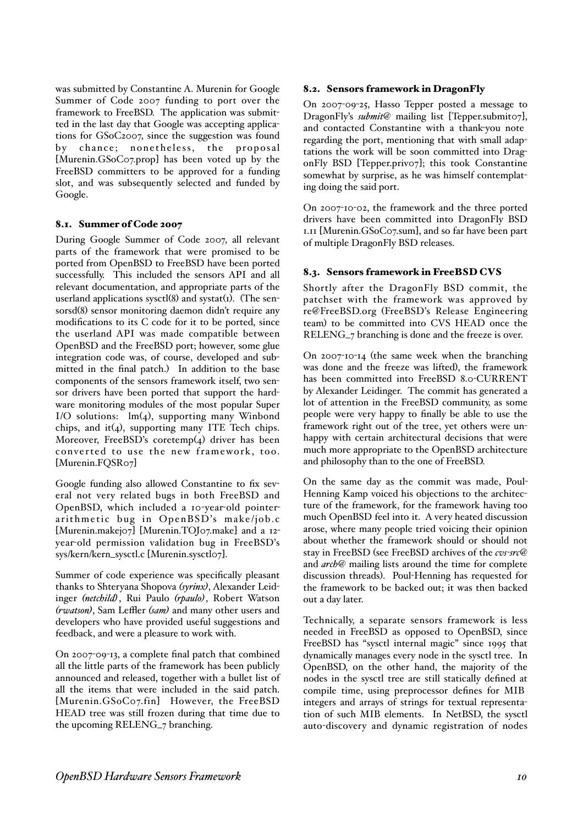was submitted by Constantine A. Murenin for Google Summer of Code 2007 funding to port over the framework to FreeBSD. The application was submitted in the last day that Google was accepting applications for GSoC2007, since the suggestion was found by chance; nonetheless, the proposal [Murenin.GSoC07.prop] has been voted up by the FreeBSD committers to be approved for a funding slot, and was subsequently selected and funded by Google.

#### 8.1. Summer of Code 2007

During Google Summer of Code 2007, all relevant parts of the framework that were promised to be ported from OpenBSD to FreeBSD have been ported successfully. This included the sensors API and all relevant documentation, and appropriate parts of the userland applications sysctl $(8)$  and systat $(r)$ . (The sensorsd(8) sensor monitoring daemon didn't require any modifications to its C code for it to be ported, since the userland API was made compatible between OpenBSD and the FreeBSD port; however, some glue integration code was, of course, developed and submitted in the final patch.) In addition to the base components of the sensors framework itself, two sensor drivers have been ported that support the hardware monitoring modules of the most popular Super I/O solutions:  $\text{Im}(4)$ , supporting many Winbond chips, and it( $4$ ), supporting many ITE Tech chips. Moreover, FreeBSD's coretemp(4) driver has been converted to use the new framework, too. [Murenin.FQSR07]

Google funding also allowed Constantine to fix several not very related bugs in both FreeBSD and OpenBSD, which included a 10-year-old pointerarithmetic bug in OpenBSD's make/job.c [Murenin.makej07] [Murenin.TOJ07.make] and a 12 year-old permission validation bug in FreeBSD's sys/kern/kern\_sysctl.c [Murenin.sysctl07].

Summer of code experience was specifically pleasant thanks to Shteryana Shopova *(syrinx)*, Alexander Leidinger *(netchild)*, Rui Paulo *(rpaulo)*, Robert Watson *(rwatson)*, Sam Leffler *(sam)* and many other users and developers who have provided useful suggestions and feedback, and were a pleasure to work with.

On 2007-09-13, a complete final patch that combined all the little parts of the framework has been publicly announced and released, together with a bullet list of all the items that were included in the said patch. [Murenin.GSoC07.fin] However, the FreeBSD HEAD tree was still frozen during that time due to the upcoming RELENG\_7 branching.

#### 8.2. Sensors framework in DragonFly

On 2007-09-25, Hasso Tepper posted a message to DragonFly's *submit@* mailing list [Tepper.submit07], and contacted Constantine with a thank-you note regarding the port, mentioning that with small adaptations the work will be soon committed into DragonFly BSD [Tepper.priv07]; this took Constantine somewhat by surprise, as he was himself contemplating doing the said port.

On 2007-10-02, the framework and the three ported drivers have been committed into DragonFly BSD 1.11 [Murenin.GSoC07.sum], and so far have been part of multiple DragonFly BSD releases.

### 8.3. Sensors framework in FreeBSD CVS

Shortly after the DragonFly BSD commit, the patchset with the framework was approved by re@FreeBSD.org (FreeBSD's Release Engineering team) to be committed into CVS HEAD once the RELENG\_7 branching is done and the freeze is over.

On 2007-10-14 (the same week when the branching was done and the freeze was lifted), the framework has been committed into FreeBSD 8.0-CURRENT by Alexander Leidinger. The commit has generated a lot of attention in the FreeBSD community, as some people were very happy to finally be able to use the framework right out of the tree, yet others were unhappy with certain architectural decisions that were much more appropriate to the OpenBSD architecture and philosophy than to the one of FreeBSD.

On the same day as the commit was made, Poul-Henning Kamp voiced his objections to the architecture of the framework, for the framework having too much OpenBSD feel into it. A very heated discussion arose, where many people tried voicing their opinion about whether the framework should or should not stay in FreeBSD (see FreeBSD archives of the *cvs-src@* and *arch@* mailing lists around the time for complete discussion threads). Poul-Henning has requested for the framework to be backed out; it was then backed out a day later.

Technically, a separate sensors framework is less needed in FreeBSD as opposed to OpenBSD, since FreeBSD has "sysctl internal magic" since 1995 that dynamically manages every node in the sysctl tree. In OpenBSD, on the other hand, the majority of the nodes in the sysctl tree are still statically defined at compile time, using preprocessor defines for MIB integers and arrays of strings for textual representation of such MIB elements. In NetBSD, the sysctl auto-discovery and dynamic registration of nodes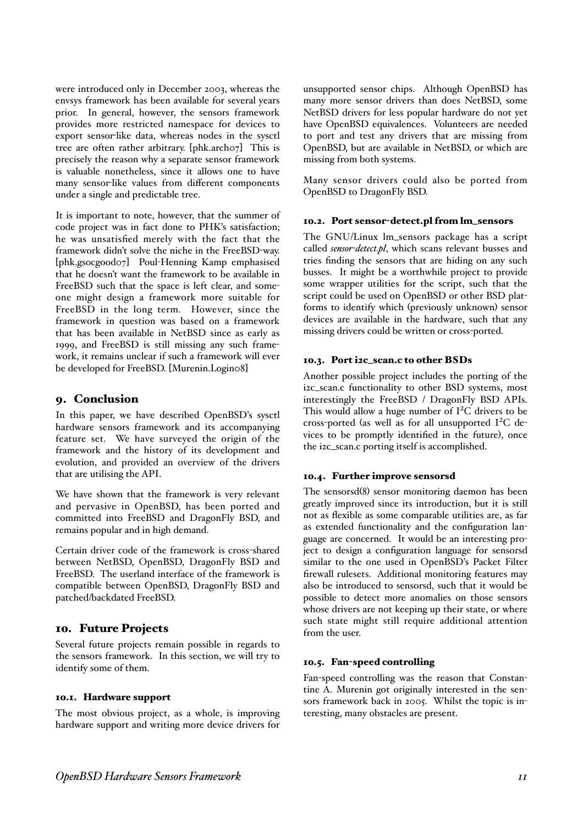were introduced only in December 2003, whereas the envsys framework has been available for several years prior. In general, however, the sensors framework provides more restricted namespace for devices to export sensor-like data, whereas nodes in the sysctl tree are often rather arbitrary. [phk.arch07] This is precisely the reason why a separate sensor framework is valuable nonetheless, since it allows one to have many sensor-like values from different components under a single and predictable tree.

It is important to note, however, that the summer of code project was in fact done to PHK's satisfaction; he was unsatisfied merely with the fact that the framework didn't solve the niche in the FreeBSD-way. [phk.gsocgood07] Poul-Henning Kamp emphasised that he doesn't want the framework to be available in FreeBSD such that the space is left clear, and someone might design a framework more suitable for FreeBSD in the long term. However, since the framework in question was based on a framework that has been available in NetBSD since as early as 1999, and FreeBSD is still missing any such framework, it remains unclear if such a framework will ever be developed for FreeBSD. [Murenin.Login08]

### 9. Conclusion

In this paper, we have described OpenBSD's sysctl hardware sensors framework and its accompanying feature set. We have surveyed the origin of the framework and the history of its development and evolution, and provided an overview of the drivers that are utilising the API.

We have shown that the framework is very relevant and pervasive in OpenBSD, has been ported and committed into FreeBSD and DragonFly BSD, and remains popular and in high demand.

Certain driver code of the framework is cross-shared between NetBSD, OpenBSD, DragonFly BSD and FreeBSD. The userland interface of the framework is compatible between OpenBSD, DragonFly BSD and patched/backdated FreeBSD.

### 10. Future Projects

Several future projects remain possible in regards to the sensors framework. In this section, we will try to identify some of them.

### 10.1. Hardware support

The most obvious project, as a whole, is improving hardware support and writing more device drivers for

unsupported sensor chips. Although OpenBSD has many more sensor drivers than does NetBSD, some NetBSD drivers for less popular hardware do not yet have OpenBSD equivalences. Volunteers are needed to port and test any drivers that are missing from OpenBSD, but are available in NetBSD, or which are missing from both systems.

Many sensor drivers could also be ported from OpenBSD to DragonFly BSD.

### 10.2. Port sensor-detect.pl from lm\_sensors

The GNU/Linux lm\_sensors package has a script called *sensor-detect.pl*, which scans relevant busses and tries finding the sensors that are hiding on any such busses. It might be a worthwhile project to provide some wrapper utilities for the script, such that the script could be used on OpenBSD or other BSD platforms to identify which (previously unknown) sensor devices are available in the hardware, such that any missing drivers could be written or cross-ported.

### 10.3. Port i2c\_scan.c to other BSDs

Another possible project includes the porting of the i2c\_scan.c functionality to other BSD systems, most interestingly the FreeBSD / DragonFly BSD APIs. This would allow a huge number of  $I^2C$  drivers to be cross-ported (as well as for all unsupported  $I^2C$  devices to be promptly identified in the future), once the i2c\_scan.c porting itself is accomplished.

### 10.4. Further improve sensorsd

The sensorsd(8) sensor monitoring daemon has been greatly improved since its introduction, but it is still not as flexible as some comparable utilities are, as far as extended functionality and the configuration language are concerned. It would be an interesting project to design a configuration language for sensorsd similar to the one used in OpenBSD's Packet Filter firewall rulesets. Additional monitoring features may also be introduced to sensorsd, such that it would be possible to detect more anomalies on those sensors whose drivers are not keeping up their state, or where such state might still require additional attention from the user.

### 10.5. Fan-speed controlling

Fan-speed controlling was the reason that Constantine A. Murenin got originally interested in the sensors framework back in 2005. Whilst the topic is interesting, many obstacles are present.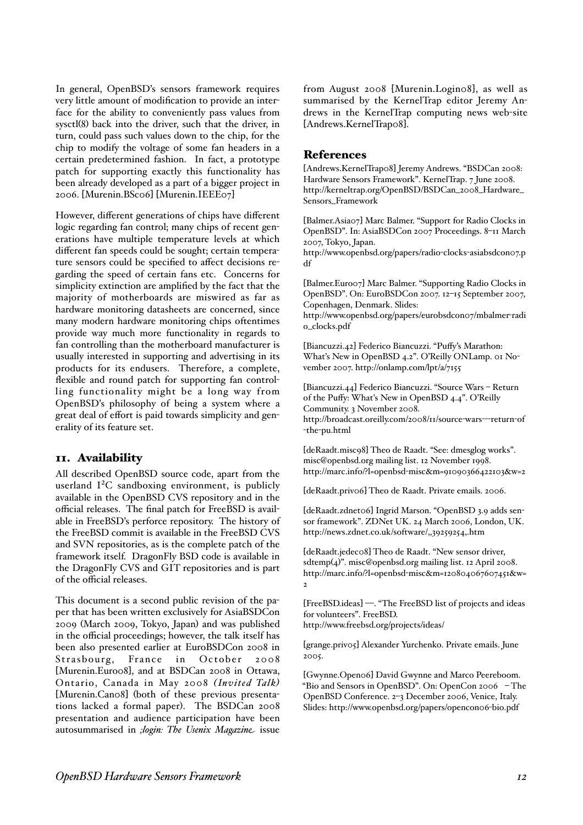In general, OpenBSD's sensors framework requires very little amount of modification to provide an interface for the ability to conveniently pass values from sysctl(8) back into the driver, such that the driver, in turn, could pass such values down to the chip, for the chip to modify the voltage of some fan headers in a certain predetermined fashion. In fact, a prototype patch for supporting exactly this functionality has been already developed as a part of a bigger project in 2006. [Murenin.BSc06] [Murenin.IEEE07]

However, different generations of chips have different logic regarding fan control; many chips of recent generations have multiple temperature levels at which different fan speeds could be sought; certain temperature sensors could be specified to affect decisions regarding the speed of certain fans etc. Concerns for simplicity extinction are amplified by the fact that the majority of motherboards are miswired as far as hardware monitoring datasheets are concerned, since many modern hardware monitoring chips oftentimes provide way much more functionality in regards to fan controlling than the motherboard manufacturer is usually interested in supporting and advertising in its products for its endusers. Therefore, a complete, flexible and round patch for supporting fan controlling functionality might be a long way from OpenBSD's philosophy of being a system where a great deal of effort is paid towards simplicity and generality of its feature set.

### 11. Availability

All described OpenBSD source code, apart from the userland I²C sandboxing environment, is publicly available in the OpenBSD CVS repository and in the official releases. The final patch for FreeBSD is available in FreeBSD's perforce repository. The history of the FreeBSD commit is available in the FreeBSD CVS and SVN repositories, as is the complete patch of the framework itself. DragonFly BSD code is available in the DragonFly CVS and GIT repositories and is part of the official releases.

This document is a second public revision of the paper that has been written exclusively for AsiaBSDCon 2009 (March 2009, Tokyo, Japan) and was published in the official proceedings; however, the talk itself has been also presented earlier at EuroBSDCon 2008 in Strasbourg, France in October 2008 [Murenin.Euro08], and at BSDCan 2008 in Ottawa, Ontario, Canada in May 2008 *( Invited Talk)* [Murenin.Can08] (both of these previous presentations lacked a formal paper). The BSDCan 2008 presentation and audience participation have been autosummarised in *;login: The Usenix Magazine* issue

from August 2008 [Murenin.Login08], as well as summarised by the KernelTrap editor Jeremy Andrews in the KernelTrap computing news web-site [Andrews.KernelTrap08].

### **References**

[Andrews.KernelTrap08] Jeremy Andrews. "BSDCan 2008: Hardware Sensors Framework". KernelTrap. 7 June 2008. http://kerneltrap.org/OpenBSD/BSDCan\_2008\_Hardware\_ Sensors\_Framework

[Balmer.Asia07] Marc Balmer. "Support for Radio Clocks in OpenBSD". In: AsiaBSDCon 2007 Proceedings. 8–11 March 2007, Tokyo, Japan.

http://www.openbsd.org/papers/radio-clocks-asiabsdcon07.p df

[Balmer.Euro07] Marc Balmer. "Supporting Radio Clocks in OpenBSD". On: EuroBSDCon 2007. 12–15 September 2007, Copenhagen, Denmark. Slides: http://www.openbsd.org/papers/eurobsdcon07/mbalmer-radi o\_clocks.pdf

[Biancuzzi.42] Federico Biancuzzi. "Puffy's Marathon: What's New in OpenBSD 4.2". O'Reilly ONLamp. 01 November 2007. http://onlamp.com/lpt/a/7155

[Biancuzzi.44] Federico Biancuzzi. "Source Wars – Return of the Puffy: What's New in OpenBSD 4.4". O'Reilly Community. 3 November 2008. http://broadcast.oreilly.com/2008/11/source-wars---return-of -the-pu.html

[deRaadt.misc98] Theo de Raadt. "See: dmesglog works". misc@openbsd.org mailing list. 12 November 1998. http://marc.info/?l=openbsd-misc&m=91090366422103&w=2

[deRaadt.priv06] Theo de Raadt. Private emails. 2006.

[deRaadt.zdnet06] Ingrid Marson. "OpenBSD 3.9 adds sensor framework". ZDNet UK. 24 March 2006, London, UK. http://news.zdnet.co.uk/software/,,39259254,.htm

[deRaadt.jedec08] Theo de Raadt. "New sensor driver, sdtemp(4)". misc@openbsd.org mailing list. 12 April 2008. http://marc.info/?l=openbsd-misc&m=120804067607451&w= 2

[FreeBSD.ideas] —. "The FreeBSD list of projects and ideas for volunteers". FreeBSD.

http://www.freebsd.org/projects/ideas/

[grange.priv05] Alexander Yurchenko. Private emails. June 2005.

[Gwynne.Open06] David Gwynne and Marco Peereboom. "Bio and Sensors in OpenBSD". On: OpenCon 2006 – The OpenBSD Conference. 2–3 December 2006, Venice, Italy. Slides: http://www.openbsd.org/papers/opencon06-bio.pdf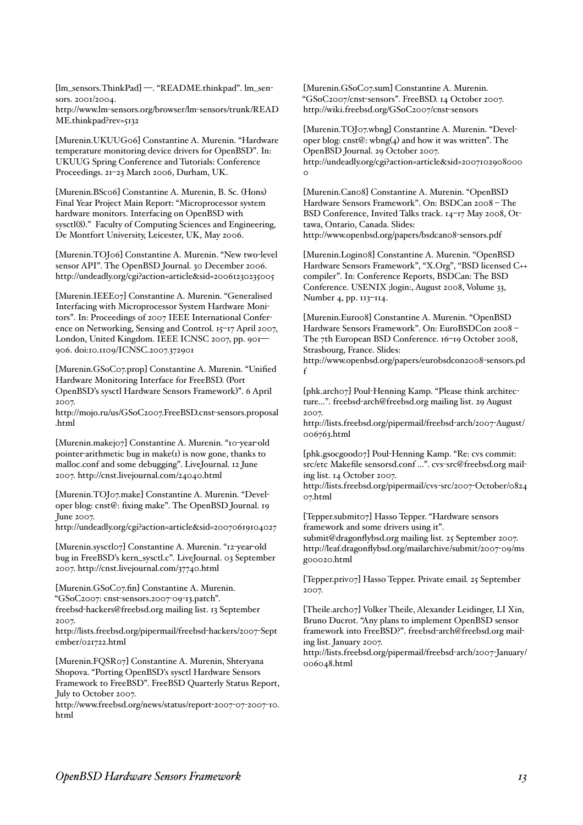[lm\_sensors.ThinkPad] —. "README.thinkpad". lm\_sensors. 2001/2004. http://www.lm-sensors.org/browser/lm-sensors/trunk/READ ME.thinkpad?rev=5132

[Murenin.UKUUG06] Constantine A. Murenin. "Hardware temperature monitoring device drivers for OpenBSD". In: UKUUG Spring Conference and Tutorials: Conference Proceedings. 21–23 March 2006, Durham, UK.

[Murenin.BSc06] Constantine A. Murenin, B. Sc. (Hons) Final Year Project Main Report: "Microprocessor system hardware monitors. Interfacing on OpenBSD with sysctl(8)." Faculty of Computing Sciences and Engineering, De Montfort University, Leicester, UK, May 2006.

[Murenin.TOJ06] Constantine A. Murenin. "New two-level sensor API". The OpenBSD Journal. 30 December 2006. http://undeadly.org/cgi?action=article&sid=20061230235005

[Murenin.IEEE07] Constantine A. Murenin. "Generalised Interfacing with Microprocessor System Hardware Monitors". In: Proceedings of 2007 IEEE International Conference on Networking, Sensing and Control. 15–17 April 2007, London, United Kingdom. IEEE ICNSC 2007, pp. 901-906. doi:10.1109/ICNSC.2007.372901

[Murenin.GSoC07.prop] Constantine A. Murenin. "Unified Hardware Monitoring Interface for FreeBSD. (Port OpenBSD's sysctl Hardware Sensors Framework)". 6 April 2007.

http://mojo.ru/us/GSoC2007.FreeBSD.cnst-sensors.proposal .html

[Murenin.makej07] Constantine A. Murenin. "10-year-old pointer-arithmetic bug in make(1) is now gone, thanks to malloc.conf and some debugging". LiveJournal. 12 June 2007. http://cnst.livejournal.com/24040.html

[Murenin.TOJ07.make] Constantine A. Murenin. "Developer blog: cnst@: fixing make". The OpenBSD Journal. 19 June 2007.

http://undeadly.org/cgi?action=article&sid=20070619104027

[Murenin.sysctl07] Constantine A. Murenin. "12-year-old bug in FreeBSD's kern\_sysctl.c". LiveJournal. 03 September 2007. http://cnst.livejournal.com/37740.html

[Murenin.GSoC07.fin] Constantine A. Murenin. "GSoC2007: cnst-sensors.2007-09-13.patch". freebsd-hackers@freebsd.org mailing list. 13 September 2007.

http://lists.freebsd.org/pipermail/freebsd-hackers/2007-Sept ember/021722.html

[Murenin.FQSR07] Constantine A. Murenin, Shteryana Shopova. "Porting OpenBSD's sysctl Hardware Sensors Framework to FreeBSD". FreeBSD Quarterly Status Report, July to October 2007.

http://www.freebsd.org/news/status/report-2007-07-2007-10. html

[Murenin.GSoC07.sum] Constantine A. Murenin. "GSoC2007/cnst-sensors". FreeBSD. 14 October 2007. http://wiki.freebsd.org/GSoC2007/cnst-sensors

[Murenin.TOJ07.wbng] Constantine A. Murenin. "Developer blog: cnst@: wbng $(4)$  and how it was written". The OpenBSD Journal. 29 October 2007. http://undeadly.org/cgi?action=article&sid=2007102908000  $\circ$ 

[Murenin.Can08] Constantine A. Murenin. "OpenBSD Hardware Sensors Framework". On: BSDCan 2008 – The BSD Conference, Invited Talks track. 14–17 May 2008, Ottawa, Ontario, Canada. Slides: http://www.openbsd.org/papers/bsdcan08-sensors.pdf

[Murenin.Login08] Constantine A. Murenin. "OpenBSD Hardware Sensors Framework", "X.Org", "BSD licensed C++ compiler". In: Conference Reports, BSDCan: The BSD Conference. USENIX ;login:, August 2008, Volume 33, Number 4, pp. 113–114.

[Murenin.Euro08] Constantine A. Murenin. "OpenBSD Hardware Sensors Framework". On: EuroBSDCon 2008 – The 7th European BSD Conference. 16–19 October 2008, Strasbourg, France. Slides:

http://www.openbsd.org/papers/eurobsdcon2008-sensors.pd f

[phk.arch07] Poul-Henning Kamp. "Please think architecture...". freebsd-arch@freebsd.org mailing list. 29 August 2007.

http://lists.freebsd.org/pipermail/freebsd-arch/2007-August/ 006763.html

[phk.gsocgood07] Poul-Henning Kamp. "Re: cvs commit: src/etc Makefile sensorsd.conf ...". cvs-src@freebsd.org mailing list. 14 October 2007.

http://lists.freebsd.org/pipermail/cvs-src/2007-October/0824 07.html

[Tepper.submit07] Hasso Tepper. "Hardware sensors framework and some drivers using it".

submit@dragonflybsd.org mailing list. 25 September 2007. http://leaf.dragonflybsd.org/mailarchive/submit/2007-09/ms g00020.html

[Tepper.priv07] Hasso Tepper. Private email. 25 September 2007.

[Theile.arch07] Volker Theile, Alexander Leidinger, LI Xin, Bruno Ducrot. "Any plans to implement OpenBSD sensor framework into FreeBSD?". freebsd-arch@freebsd.org mailing list. January 2007.

http://lists.freebsd.org/pipermail/freebsd-arch/2007-January/ 006048.html